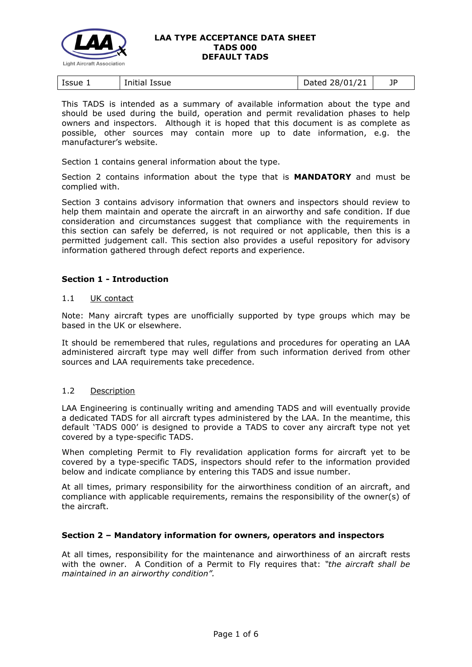

| Issue 1<br>Initial Issue | Dated 28/01/21 |  |
|--------------------------|----------------|--|
|--------------------------|----------------|--|

This TADS is intended as a summary of available information about the type and should be used during the build, operation and permit revalidation phases to help owners and inspectors. Although it is hoped that this document is as complete as possible, other sources may contain more up to date information, e.g. the manufacturer's website.

Section 1 contains general information about the type.

Section 2 contains information about the type that is **MANDATORY** and must be complied with.

Section 3 contains advisory information that owners and inspectors should review to help them maintain and operate the aircraft in an airworthy and safe condition. If due consideration and circumstances suggest that compliance with the requirements in this section can safely be deferred, is not required or not applicable, then this is a permitted judgement call. This section also provides a useful repository for advisory information gathered through defect reports and experience.

### **Section 1 - Introduction**

### 1.1 UK contact

Note: Many aircraft types are unofficially supported by type groups which may be based in the UK or elsewhere.

It should be remembered that rules, regulations and procedures for operating an LAA administered aircraft type may well differ from such information derived from other sources and LAA requirements take precedence.

### 1.2 Description

LAA Engineering is continually writing and amending TADS and will eventually provide a dedicated TADS for all aircraft types administered by the LAA. In the meantime, this default 'TADS 000' is designed to provide a TADS to cover any aircraft type not yet covered by a type-specific TADS.

When completing Permit to Fly revalidation application forms for aircraft yet to be covered by a type-specific TADS, inspectors should refer to the information provided below and indicate compliance by entering this TADS and issue number.

At all times, primary responsibility for the airworthiness condition of an aircraft, and compliance with applicable requirements, remains the responsibility of the owner(s) of the aircraft.

### **Section 2 – Mandatory information for owners, operators and inspectors**

At all times, responsibility for the maintenance and airworthiness of an aircraft rests with the owner. A Condition of a Permit to Fly requires that: *"the aircraft shall be maintained in an airworthy condition".*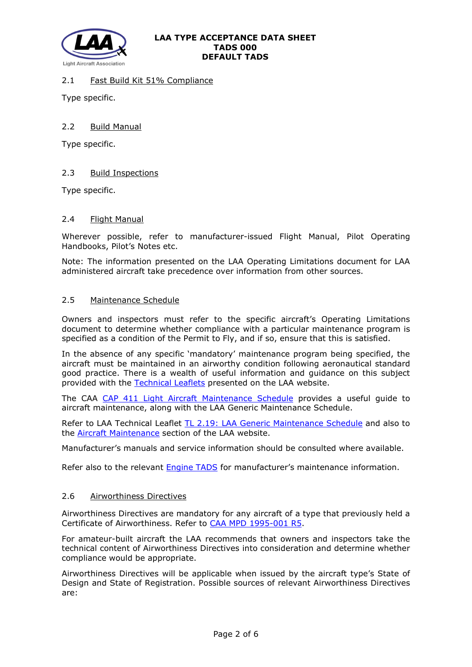

# 2.1 Fast Build Kit 51% Compliance

Type specific.

## 2.2 Build Manual

Type specific.

# 2.3 Build Inspections

Type specific.

### 2.4 Flight Manual

Wherever possible, refer to manufacturer-issued Flight Manual, Pilot Operating Handbooks, Pilot's Notes etc.

Note: The information presented on the LAA Operating Limitations document for LAA administered aircraft take precedence over information from other sources.

### 2.5 Maintenance Schedule

Owners and inspectors must refer to the specific aircraft's Operating Limitations document to determine whether compliance with a particular maintenance program is specified as a condition of the Permit to Fly, and if so, ensure that this is satisfied.

In the absence of any specific 'mandatory' maintenance program being specified, the aircraft must be maintained in an airworthy condition following aeronautical standard good practice. There is a wealth of useful information and guidance on this subject provided with the [Technical Leaflets](http://www.lightaircraftassociation.co.uk/engineering/technical_leaflets.html) presented on the LAA website.

The CAA [CAP 411 Light Aircraft Maintenance Schedule](http://www.lightaircraftassociation.co.uk/engineering/TADs/000/CAP411%20Fifth%20Edition%20April%202005.PDF) provides a useful guide to aircraft maintenance, along with the LAA Generic Maintenance Schedule.

Refer to LAA Technical Leaflet [TL 2.19: LAA Generic Maintenance Schedule](http://www.lightaircraftassociation.co.uk/engineering/TechnicalLeaflets/Operating%20An%20Aircraft/TL%202.19%20The%20LAA%20Generic%20Maintenance%20Schedule.pdf) and also to the [Aircraft Maintenance](http://www.lightaircraftassociation.co.uk/engineering/Maintenance/Aircraft_Maintenance.html) section of the LAA website.

Manufacturer's manuals and service information should be consulted where available.

Refer also to the relevant **Engine TADS** for manufacturer's maintenance information.

### 2.6 Airworthiness Directives

Airworthiness Directives are mandatory for any aircraft of a type that previously held a Certificate of Airworthiness. Refer to [CAA MPD 1995-001 R5.](http://www.lightaircraftassociation.co.uk/engineering/TADs/000/MPD%201995-001%20R5.pdf)

For amateur-built aircraft the LAA recommends that owners and inspectors take the technical content of Airworthiness Directives into consideration and determine whether compliance would be appropriate.

Airworthiness Directives will be applicable when issued by the aircraft type's State of Design and State of Registration. Possible sources of relevant Airworthiness Directives are: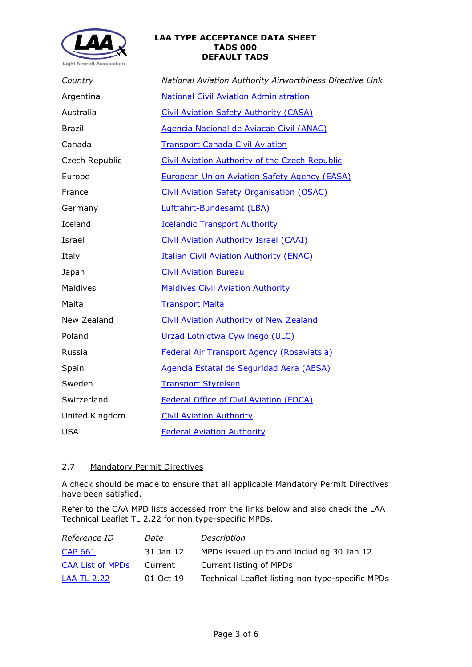

| Country        | National Aviation Authority Airworthiness Directive Link |  |  |
|----------------|----------------------------------------------------------|--|--|
| Argentina      | <b>National Civil Aviation Administration</b>            |  |  |
| Australia      | <b>Civil Aviation Safety Authority (CASA)</b>            |  |  |
| <b>Brazil</b>  | Agencia Nacional de Aviacao Civil (ANAC)                 |  |  |
| Canada         | <b>Transport Canada Civil Aviation</b>                   |  |  |
| Czech Republic | <b>Civil Aviation Authority of the Czech Republic</b>    |  |  |
| Europe         | <b>European Union Aviation Safety Agency (EASA)</b>      |  |  |
| France         | <b>Civil Aviation Safety Organisation (OSAC)</b>         |  |  |
| Germany        | Luftfahrt-Bundesamt (LBA)                                |  |  |
| Iceland        | <b>Icelandic Transport Authority</b>                     |  |  |
| Israel         | <b>Civil Aviation Authority Israel (CAAI)</b>            |  |  |
| Italy          | <b>Italian Civil Aviation Authority (ENAC)</b>           |  |  |
| Japan          | <b>Civil Aviation Bureau</b>                             |  |  |
| Maldives       | <b>Maldives Civil Aviation Authority</b>                 |  |  |
| Malta          | <b>Transport Malta</b>                                   |  |  |
| New Zealand    | <b>Civil Aviation Authority of New Zealand</b>           |  |  |
| Poland         | Urzad Lotnictwa Cywilnego (ULC)                          |  |  |
| Russia         | Federal Air Transport Agency (Rosaviatsia)               |  |  |
| Spain          | Agencia Estatal de Seguridad Aera (AESA)                 |  |  |
| Sweden         | <b>Transport Styrelsen</b>                               |  |  |
| Switzerland    | <b>Federal Office of Civil Aviation (FOCA)</b>           |  |  |
| United Kingdom | <b>Civil Aviation Authority</b>                          |  |  |
| <b>USA</b>     | <b>Federal Aviation Authority</b>                        |  |  |

# 2.7 Mandatory Permit Directives

A check should be made to ensure that all applicable Mandatory Permit Directives have been satisfied.

Refer to the CAA MPD lists accessed from the links below and also check the LAA Technical Leaflet TL 2.22 for non type-specific MPDs.

| Reference ID            | Date      | Description                                      |
|-------------------------|-----------|--------------------------------------------------|
| <b>CAP 661</b>          | 31 Jan 12 | MPDs issued up to and including 30 Jan 12        |
| <b>CAA List of MPDs</b> | Current   | Current listing of MPDs                          |
| <b>LAA TL 2.22</b>      | 01 Oct 19 | Technical Leaflet listing non type-specific MPDs |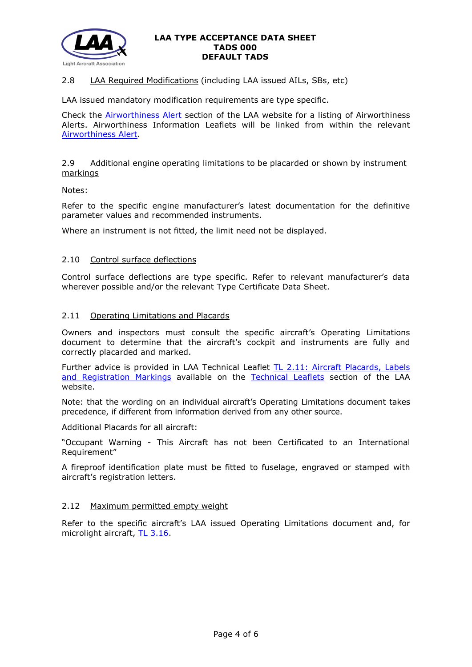

# 2.8 LAA Required Modifications (including LAA issued AILs, SBs, etc)

LAA issued mandatory modification requirements are type specific.

Check the [Airworthiness Alert](http://www.lightaircraftassociation.co.uk/engineering/Airworthiness/home_page_airworthiness.html) section of the LAA website for a listing of Airworthiness Alerts. Airworthiness Information Leaflets will be linked from within the relevant [Airworthiness Alert.](http://www.lightaircraftassociation.co.uk/engineering/Airworthiness/home_page_airworthiness.html)

### 2.9 Additional engine operating limitations to be placarded or shown by instrument markings

Notes:

Refer to the specific engine manufacturer's latest documentation for the definitive parameter values and recommended instruments.

Where an instrument is not fitted, the limit need not be displayed.

### 2.10 Control surface deflections

Control surface deflections are type specific. Refer to relevant manufacturer's data wherever possible and/or the relevant Type Certificate Data Sheet.

### 2.11 Operating Limitations and Placards

Owners and inspectors must consult the specific aircraft's Operating Limitations document to determine that the aircraft's cockpit and instruments are fully and correctly placarded and marked.

Further advice is provided in LAA Technical Leaflet [TL 2.11: Aircraft Placards, Labels](http://www.lightaircraftassociation.co.uk/engineering/TechnicalLeaflets/Operating%20An%20Aircraft/TL%202.11%20Placards%20and%20Labels.pdf)  [and Registration Markings](http://www.lightaircraftassociation.co.uk/engineering/TechnicalLeaflets/Operating%20An%20Aircraft/TL%202.11%20Placards%20and%20Labels.pdf) available on the [Technical Leaflets](http://www.lightaircraftassociation.co.uk/engineering/technical_leaflets.html) section of the LAA website.

Note: that the wording on an individual aircraft's Operating Limitations document takes precedence, if different from information derived from any other source.

Additional Placards for all aircraft:

"Occupant Warning - This Aircraft has not been Certificated to an International Requirement"

A fireproof identification plate must be fitted to fuselage, engraved or stamped with aircraft's registration letters.

### 2.12 Maximum permitted empty weight

Refer to the specific aircraft's LAA issued Operating Limitations document and, for microlight aircraft, [TL 3.16.](http://www.lightaircraftassociation.co.uk/engineering/TechnicalLeaflets/Mods%20and%20Repairs/TL%203.16%20Weight%20and%20Balance%20Guidance%20Notes.pdf)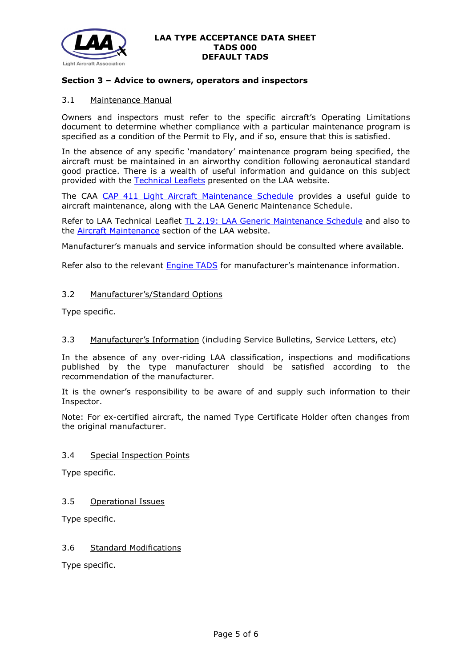

### **Section 3 – Advice to owners, operators and inspectors**

### 3.1 Maintenance Manual

Owners and inspectors must refer to the specific aircraft's Operating Limitations document to determine whether compliance with a particular maintenance program is specified as a condition of the Permit to Fly, and if so, ensure that this is satisfied.

In the absence of any specific 'mandatory' maintenance program being specified, the aircraft must be maintained in an airworthy condition following aeronautical standard good practice. There is a wealth of useful information and guidance on this subject provided with the [Technical Leaflets](http://www.lightaircraftassociation.co.uk/engineering/technical_leaflets.html) presented on the LAA website.

The CAA [CAP 411 Light Aircraft Maintenance Schedule](http://www.lightaircraftassociation.co.uk/engineering/TADs/000/CAP411%20Fifth%20Edition%20April%202005.PDF) provides a useful guide to aircraft maintenance, along with the LAA Generic Maintenance Schedule.

Refer to LAA Technical Leaflet [TL 2.19: LAA Generic Maintenance Schedule](http://www.lightaircraftassociation.co.uk/engineering/TechnicalLeaflets/Operating%20An%20Aircraft/TL%202.19%20The%20LAA%20Generic%20Maintenance%20Schedule.pdf) and also to the [Aircraft Maintenance](http://www.lightaircraftassociation.co.uk/engineering/Maintenance/Aircraft_Maintenance.html) section of the LAA website.

Manufacturer's manuals and service information should be consulted where available.

Refer also to the relevant [Engine TADS](http://www.lightaircraftassociation.co.uk/engineering/engine_datasheets.html) for manufacturer's maintenance information.

### 3.2 Manufacturer's/Standard Options

Type specific.

### 3.3 Manufacturer's Information (including Service Bulletins, Service Letters, etc)

In the absence of any over-riding LAA classification, inspections and modifications published by the type manufacturer should be satisfied according to the recommendation of the manufacturer.

It is the owner's responsibility to be aware of and supply such information to their Inspector.

Note: For ex-certified aircraft, the named Type Certificate Holder often changes from the original manufacturer.

#### 3.4 Special Inspection Points

Type specific.

3.5 Operational Issues

Type specific.

### 3.6 Standard Modifications

Type specific.